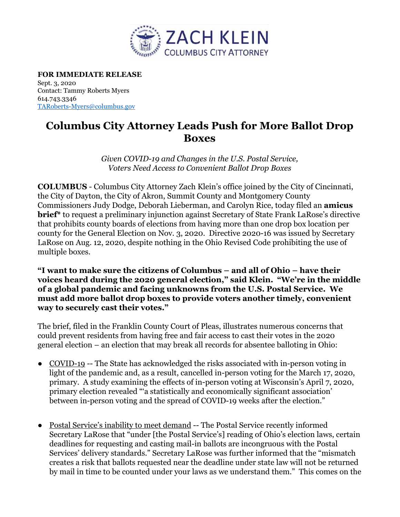

**FOR IMMEDIATE RELEASE** Sept. 3, 2020 Contact: Tammy Roberts Myers 614.743.3346 [TARoberts-Myers@columbus.gov](mailto:TARoberts-Myers@columbus.gov)

## **Columbus City Attorney Leads Push for More Ballot Drop Boxes**

*Given COVID-19 and Changes in the U.S. Postal Service, Voters Need Access to Convenient Ballot Drop Boxes*

**COLUMBUS** - Columbus City Attorney Zach Klein's office joined by the City of Cincinnati, the City of Dayton, the City of Akron, Summit County and Montgomery County Commissioners Judy Dodge, Deborah Lieberman, and Carolyn Rice, today filed an **amicus brief\*** to request a preliminary injunction against Secretary of State Frank LaRose's directive that prohibits county boards of elections from having more than one drop box location per county for the General Election on Nov. 3, 2020. Directive 2020-16 was issued by Secretary LaRose on Aug. 12, 2020, despite nothing in the Ohio Revised Code prohibiting the use of multiple boxes.

**"I want to make sure the citizens of Columbus – and all of Ohio – have their voices heard during the 2020 general election," said Klein. "We're in the middle of a global pandemic and facing unknowns from the U.S. Postal Service. We must add more ballot drop boxes to provide voters another timely, convenient way to securely cast their votes."**

The brief, filed in the Franklin County Court of Pleas, illustrates numerous concerns that could prevent residents from having free and fair access to cast their votes in the 2020 general election – an election that may break all records for absentee balloting in Ohio:

- COVID-19 -- The State has acknowledged the risks associated with in-person voting in light of the pandemic and, as a result, cancelled in-person voting for the March 17, 2020, primary. A study examining the effects of in-person voting at Wisconsin's April 7, 2020, primary election revealed "'a statistically and economically significant association' between in-person voting and the spread of COVID-19 weeks after the election."
- Postal Service's inability to meet demand -- The Postal Service recently informed Secretary LaRose that "under [the Postal Service's] reading of Ohio's election laws, certain deadlines for requesting and casting mail-in ballots are incongruous with the Postal Services' delivery standards." Secretary LaRose was further informed that the "mismatch creates a risk that ballots requested near the deadline under state law will not be returned by mail in time to be counted under your laws as we understand them." This comes on the